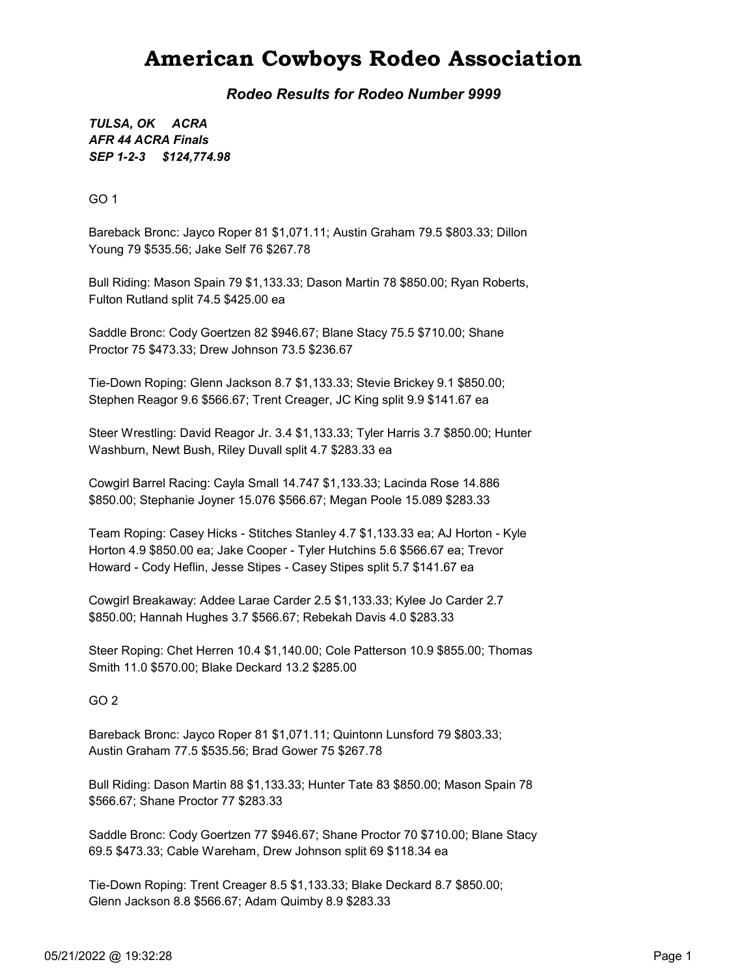## American Cowboys Rodeo Association

Rodeo Results for Rodeo Number 9999

SEP 1-2-3 \$124,774.98 TULSA, OK ACRA AFR 44 ACRA Finals

GO 1

Bareback Bronc: Jayco Roper 81 \$1,071.11; Austin Graham 79.5 \$803.33; Dillon Young 79 \$535.56; Jake Self 76 \$267.78

Bull Riding: Mason Spain 79 \$1,133.33; Dason Martin 78 \$850.00; Ryan Roberts, Fulton Rutland split 74.5 \$425.00 ea

Saddle Bronc: Cody Goertzen 82 \$946.67; Blane Stacy 75.5 \$710.00; Shane Proctor 75 \$473.33; Drew Johnson 73.5 \$236.67

Tie-Down Roping: Glenn Jackson 8.7 \$1,133.33; Stevie Brickey 9.1 \$850.00; Stephen Reagor 9.6 \$566.67; Trent Creager, JC King split 9.9 \$141.67 ea

Steer Wrestling: David Reagor Jr. 3.4 \$1,133.33; Tyler Harris 3.7 \$850.00; Hunter Washburn, Newt Bush, Riley Duvall split 4.7 \$283.33 ea

Cowgirl Barrel Racing: Cayla Small 14.747 \$1,133.33; Lacinda Rose 14.886 \$850.00; Stephanie Joyner 15.076 \$566.67; Megan Poole 15.089 \$283.33

Team Roping: Casey Hicks - Stitches Stanley 4.7 \$1,133.33 ea; AJ Horton - Kyle Horton 4.9 \$850.00 ea; Jake Cooper - Tyler Hutchins 5.6 \$566.67 ea; Trevor Howard - Cody Heflin, Jesse Stipes - Casey Stipes split 5.7 \$141.67 ea

Cowgirl Breakaway: Addee Larae Carder 2.5 \$1,133.33; Kylee Jo Carder 2.7 \$850.00; Hannah Hughes 3.7 \$566.67; Rebekah Davis 4.0 \$283.33

Steer Roping: Chet Herren 10.4 \$1,140.00; Cole Patterson 10.9 \$855.00; Thomas Smith 11.0 \$570.00; Blake Deckard 13.2 \$285.00

GO 2

Bareback Bronc: Jayco Roper 81 \$1,071.11; Quintonn Lunsford 79 \$803.33; Austin Graham 77.5 \$535.56; Brad Gower 75 \$267.78

Bull Riding: Dason Martin 88 \$1,133.33; Hunter Tate 83 \$850.00; Mason Spain 78 \$566.67; Shane Proctor 77 \$283.33

Saddle Bronc: Cody Goertzen 77 \$946.67; Shane Proctor 70 \$710.00; Blane Stacy 69.5 \$473.33; Cable Wareham, Drew Johnson split 69 \$118.34 ea

Tie-Down Roping: Trent Creager 8.5 \$1,133.33; Blake Deckard 8.7 \$850.00; Glenn Jackson 8.8 \$566.67; Adam Quimby 8.9 \$283.33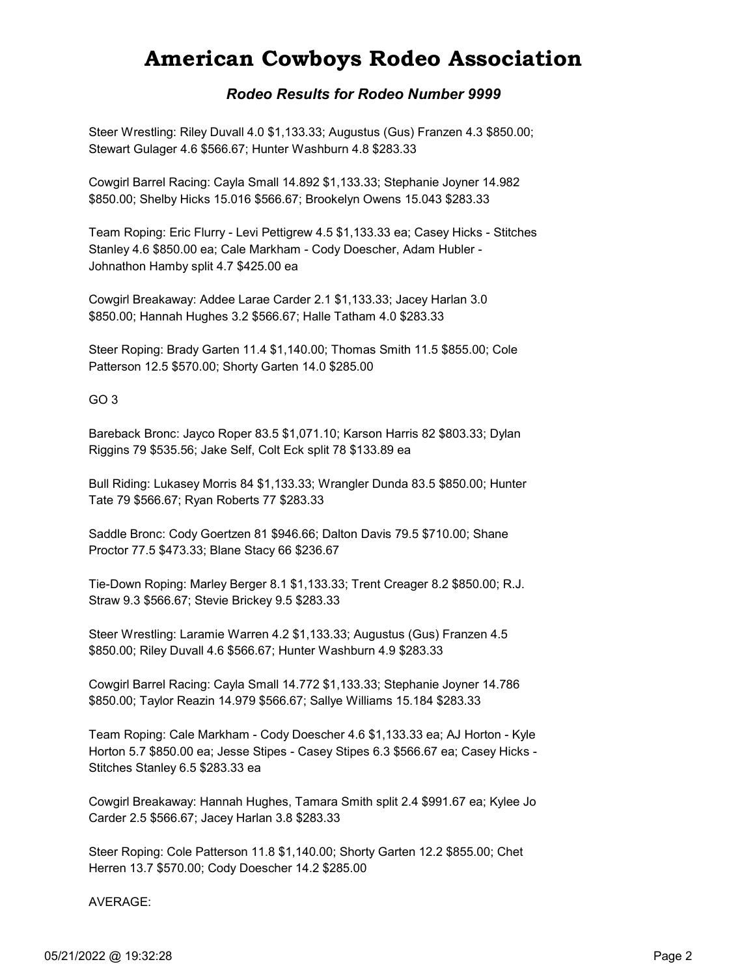## American Cowboys Rodeo Association

### Rodeo Results for Rodeo Number 9999

Steer Wrestling: Riley Duvall 4.0 \$1,133.33; Augustus (Gus) Franzen 4.3 \$850.00; Stewart Gulager 4.6 \$566.67; Hunter Washburn 4.8 \$283.33

Cowgirl Barrel Racing: Cayla Small 14.892 \$1,133.33; Stephanie Joyner 14.982 \$850.00; Shelby Hicks 15.016 \$566.67; Brookelyn Owens 15.043 \$283.33

Team Roping: Eric Flurry - Levi Pettigrew 4.5 \$1,133.33 ea; Casey Hicks - Stitches Stanley 4.6 \$850.00 ea; Cale Markham - Cody Doescher, Adam Hubler - Johnathon Hamby split 4.7 \$425.00 ea

Cowgirl Breakaway: Addee Larae Carder 2.1 \$1,133.33; Jacey Harlan 3.0 \$850.00; Hannah Hughes 3.2 \$566.67; Halle Tatham 4.0 \$283.33

Steer Roping: Brady Garten 11.4 \$1,140.00; Thomas Smith 11.5 \$855.00; Cole Patterson 12.5 \$570.00; Shorty Garten 14.0 \$285.00

#### GO 3

Bareback Bronc: Jayco Roper 83.5 \$1,071.10; Karson Harris 82 \$803.33; Dylan Riggins 79 \$535.56; Jake Self, Colt Eck split 78 \$133.89 ea

Bull Riding: Lukasey Morris 84 \$1,133.33; Wrangler Dunda 83.5 \$850.00; Hunter Tate 79 \$566.67; Ryan Roberts 77 \$283.33

Saddle Bronc: Cody Goertzen 81 \$946.66; Dalton Davis 79.5 \$710.00; Shane Proctor 77.5 \$473.33; Blane Stacy 66 \$236.67

Tie-Down Roping: Marley Berger 8.1 \$1,133.33; Trent Creager 8.2 \$850.00; R.J. Straw 9.3 \$566.67; Stevie Brickey 9.5 \$283.33

Steer Wrestling: Laramie Warren 4.2 \$1,133.33; Augustus (Gus) Franzen 4.5 \$850.00; Riley Duvall 4.6 \$566.67; Hunter Washburn 4.9 \$283.33

Cowgirl Barrel Racing: Cayla Small 14.772 \$1,133.33; Stephanie Joyner 14.786 \$850.00; Taylor Reazin 14.979 \$566.67; Sallye Williams 15.184 \$283.33

Team Roping: Cale Markham - Cody Doescher 4.6 \$1,133.33 ea; AJ Horton - Kyle Horton 5.7 \$850.00 ea; Jesse Stipes - Casey Stipes 6.3 \$566.67 ea; Casey Hicks - Stitches Stanley 6.5 \$283.33 ea

Cowgirl Breakaway: Hannah Hughes, Tamara Smith split 2.4 \$991.67 ea; Kylee Jo Carder 2.5 \$566.67; Jacey Harlan 3.8 \$283.33

Steer Roping: Cole Patterson 11.8 \$1,140.00; Shorty Garten 12.2 \$855.00; Chet Herren 13.7 \$570.00; Cody Doescher 14.2 \$285.00

#### AVERAGE: